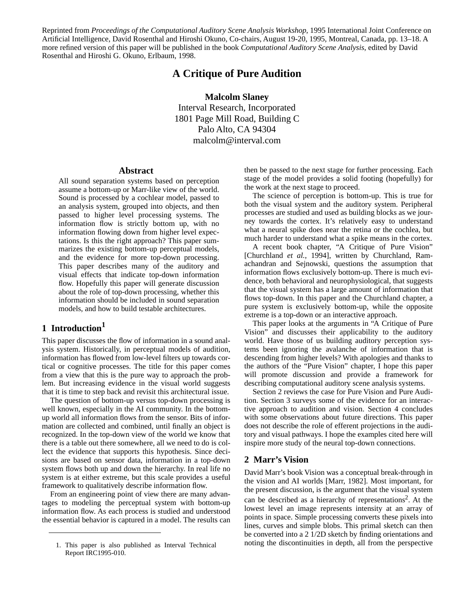Reprinted from *Proceedings of the Computational Auditory Scene Analysis Workshop*, 1995 International Joint Conference on Artificial Intelligence, David Rosenthal and Hiroshi Okuno, Co-chairs, August 19-20, 1995, Montreal, Canada, pp. 13–18. A more refined version of this paper will be published in the book *Computational Auditory Scene Analysis*, edited by David Rosenthal and Hiroshi G. Okuno, Erlbaum, 1998.

# **A Critique of Pure Audition**

**Malcolm Slaney**

Interval Research, Incorporated 1801 Page Mill Road, Building C Palo Alto, CA 94304 malcolm@interval.com

## **Abstract**

All sound separation systems based on perception assume a bottom-up or Marr-like view of the world. Sound is processed by a cochlear model, passed to an analysis system, grouped into objects, and then passed to higher level processing systems. The information flow is strictly bottom up, with no information flowing down from higher level expectations. Is this the right approach? This paper summarizes the existing bottom-up perceptual models, and the evidence for more top-down processing. This paper describes many of the auditory and visual effects that indicate top-down information flow. Hopefully this paper will generate discussion about the role of top-down processing, whether this information should be included in sound separation models, and how to build testable architectures.

# **1 Introduction1**

This paper discusses the flow of information in a sound analysis system. Historically, in perceptual models of audition, information has flowed from low-level filters up towards cortical or cognitive processes. The title for this paper comes from a view that this is the pure way to approach the problem. But increasing evidence in the visual world suggests that it is time to step back and revisit this architectural issue.

The question of bottom-up versus top-down processing is well known, especially in the AI community. In the bottomup world all information flows from the sensor. Bits of information are collected and combined, until finally an object is recognized. In the top-down view of the world we know that there is a table out there somewhere, all we need to do is collect the evidence that supports this hypothesis. Since decisions are based on sensor data, information in a top-down system flows both up and down the hierarchy. In real life no system is at either extreme, but this scale provides a useful framework to qualitatively describe information flow.

From an engineering point of view there are many advantages to modeling the perceptual system with bottom-up information flow. As each process is studied and understood the essential behavior is captured in a model. The results can then be passed to the next stage for further processing. Each stage of the model provides a solid footing (hopefully) for the work at the next stage to proceed.

The science of perception is bottom-up. This is true for both the visual system and the auditory system. Peripheral processes are studied and used as building blocks as we journey towards the cortex. It's relatively easy to understand what a neural spike does near the retina or the cochlea, but much harder to understand what a spike means in the cortex.

A recent book chapter, "A Critique of Pure Vision" [Churchland *et al.*, 1994], written by Churchland, Ramachandran and Sejnowski, questions the assumption that information flows exclusively bottom-up. There is much evidence, both behavioral and neurophysiological, that suggests that the visual system has a large amount of information that flows top-down. In this paper and the Churchland chapter, a pure system is exclusively bottom-up, while the opposite extreme is a top-down or an interactive approach.

This paper looks at the arguments in "A Critique of Pure Vision" and discusses their applicability to the auditory world. Have those of us building auditory perception systems been ignoring the avalanche of information that is descending from higher levels? With apologies and thanks to the authors of the "Pure Vision" chapter, I hope this paper will promote discussion and provide a framework for describing computational auditory scene analysis systems.

Section 2 reviews the case for Pure Vision and Pure Audition. Section 3 surveys some of the evidence for an interactive approach to audition and vision. Section 4 concludes with some observations about future directions. This paper does not describe the role of efferent projections in the auditory and visual pathways. I hope the examples cited here will inspire more study of the neural top-down connections.

### **2 Marr's Vision**

David Marr's book Vision was a conceptual break-through in the vision and AI worlds [Marr, 1982]. Most important, for the present discussion, is the argument that the visual system can be described as a hierarchy of representations<sup>2</sup>. At the lowest level an image represents intensity at an array of points in space. Simple processing converts these pixels into lines, curves and simple blobs. This primal sketch can then be converted into a 2 1/2D sketch by finding orientations and noting the discontinuities in depth, all from the perspective 1. This paper is also published as Interval Technical

Report IRC1995-010.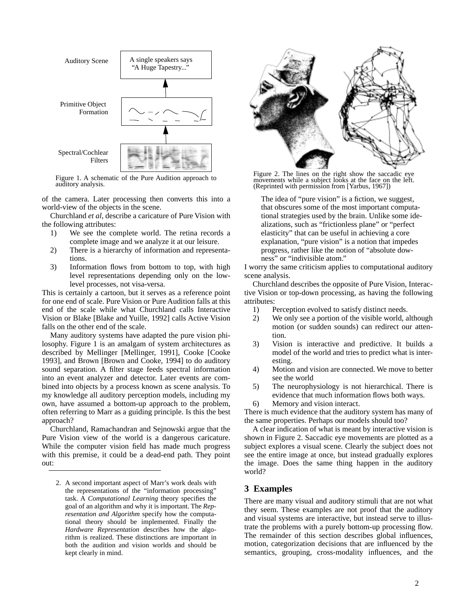

Figure 1. A schematic of the Pure Audition approach to auditory analysis.

of the camera. Later processing then converts this into a world-view of the objects in the scene.

Churchland *et al*, describe a caricature of Pure Vision with the following attributes:

- 1) We see the complete world. The retina records a complete image and we analyze it at our leisure.
- 2) There is a hierarchy of information and representations.
- 3) Information flows from bottom to top, with high level representations depending only on the lowlevel processes, not visa-versa.

This is certainly a cartoon, but it serves as a reference point for one end of scale. Pure Vision or Pure Audition falls at this end of the scale while what Churchland calls Interactive Vision or Blake [Blake and Yuille, 1992] calls Active Vision falls on the other end of the scale.

Many auditory systems have adapted the pure vision philosophy. Figure 1 is an amalgam of system architectures as described by Mellinger [Mellinger, 1991], Cooke [Cooke 1993], and Brown [Brown and Cooke, 1994] to do auditory sound separation. A filter stage feeds spectral information into an event analyzer and detector. Later events are combined into objects by a process known as scene analysis. To my knowledge all auditory perception models, including my own, have assumed a bottom-up approach to the problem, often referring to Marr as a guiding principle. Is this the best approach?

Churchland, Ramachandran and Sejnowski argue that the Pure Vision view of the world is a dangerous caricature. While the computer vision field has made much progress with this premise, it could be a dead-end path. They point out:

2. A second important aspect of Marr's work deals with the representations of the "information processing" task. A *Computational Learning* theory specifies the goal of an algorithm and why it is important. The *Representation and Algorithm* specify how the computational theory should be implemented. Finally the *Hardware Representation* describes how the algorithm is realized. These distinctions are important in both the audition and vision worlds and should be kept clearly in mind.



Figure 2. The lines on the right show the saccadic eye movements while a subject looks at the face on the left. (Reprinted with permission from [Yarbus, 1967])

The idea of "pure vision" is a fiction, we suggest, that obscures some of the most important computational strategies used by the brain. Unlike some idealizations, such as "frictionless plane" or "perfect elasticity" that can be useful in achieving a core explanation, "pure vision" is a notion that impedes progress, rather like the notion of "absolute downess" or "indivisible atom."

I worry the same criticism applies to computational auditory scene analysis.

Churchland describes the opposite of Pure Vision, Interactive Vision or top-down processing, as having the following attributes:

- 1) Perception evolved to satisfy distinct needs.
- 2) We only see a portion of the visible world, although motion (or sudden sounds) can redirect our attention.
- 3) Vision is interactive and predictive. It builds a model of the world and tries to predict what is interesting.
- 4) Motion and vision are connected. We move to better see the world
- 5) The neurophysiology is not hierarchical. There is evidence that much information flows both ways.
- 6) Memory and vision interact.

There is much evidence that the auditory system has many of the same properties. Perhaps our models should too?

A clear indication of what is meant by interactive vision is shown in Figure 2. Saccadic eye movements are plotted as a subject explores a visual scene. Clearly the subject does not see the entire image at once, but instead gradually explores the image. Does the same thing happen in the auditory world?

## **3 Examples**

There are many visual and auditory stimuli that are not what they seem. These examples are not proof that the auditory and visual systems are interactive, but instead serve to illustrate the problems with a purely bottom-up processing flow. The remainder of this section describes global influences, motion, categorization decisions that are influenced by the semantics, grouping, cross-modality influences, and the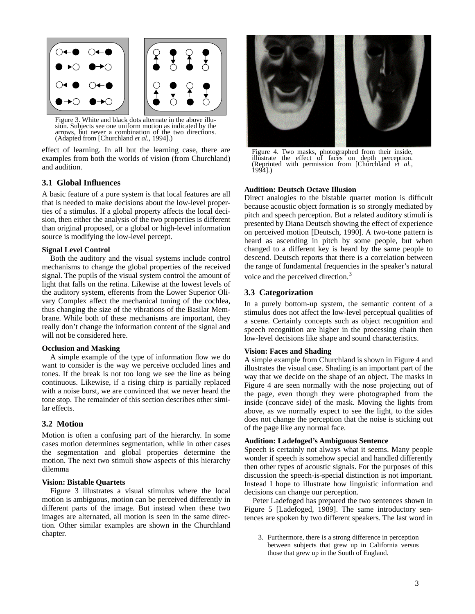

Figure 3. White and black dots alternate in the above illusion. Subjects see one uniform motion as indicated by the arrows, but never a combination of the two directions. (Adapted from [Churchland *et al.*, 1994].)

effect of learning. In all but the learning case, there are examples from both the worlds of vision (from Churchland) and audition.

### **3.1 Global Influences**

A basic feature of a pure system is that local features are all that is needed to make decisions about the low-level properties of a stimulus. If a global property affects the local decision, then either the analysis of the two properties is different than original proposed, or a global or high-level information source is modifying the low-level percept.

### **Signal Level Control**

Both the auditory and the visual systems include control mechanisms to change the global properties of the received signal. The pupils of the visual system control the amount of light that falls on the retina. Likewise at the lowest levels of the auditory system, efferents from the Lower Superior Olivary Complex affect the mechanical tuning of the cochlea, thus changing the size of the vibrations of the Basilar Membrane. While both of these mechanisms are important, they really don't change the information content of the signal and will not be considered here.

#### **Occlusion and Masking**

A simple example of the type of information flow we do want to consider is the way we perceive occluded lines and tones. If the break is not too long we see the line as being continuous. Likewise, if a rising chirp is partially replaced with a noise burst, we are convinced that we never heard the tone stop. The remainder of this section describes other similar effects.

### **3.2 Motion**

Motion is often a confusing part of the hierarchy. In some cases motion determines segmentation, while in other cases the segmentation and global properties determine the motion. The next two stimuli show aspects of this hierarchy dilemma

### **Vision: Bistable Quartets**

Figure 3 illustrates a visual stimulus where the local motion is ambiguous, motion can be perceived differently in different parts of the image. But instead when these two images are alternated, all motion is seen in the same direction. Other similar examples are shown in the Churchland chapter.



Figure 4. Two masks, photographed from their inside, illustrate the effect of faces on depth perception. (Reprinted with permission from [Churchland *et al.*, 1994].)

#### **Audition: Deutsch Octave Illusion**

Direct analogies to the bistable quartet motion is difficult because acoustic object formation is so strongly mediated by pitch and speech perception. But a related auditory stimuli is presented by Diana Deutsch showing the effect of experience on perceived motion [Deutsch, 1990]. A two-tone pattern is heard as ascending in pitch by some people, but when changed to a different key is heard by the same people to descend. Deutsch reports that there is a correlation between the range of fundamental frequencies in the speaker's natural voice and the perceived direction.<sup>3</sup>

### **3.3 Categorization**

In a purely bottom-up system, the semantic content of a stimulus does not affect the low-level perceptual qualities of a scene. Certainly concepts such as object recognition and speech recognition are higher in the processing chain then low-level decisions like shape and sound characteristics.

#### **Vision: Faces and Shading**

A simple example from Churchland is shown in Figure 4 and illustrates the visual case. Shading is an important part of the way that we decide on the shape of an object. The masks in Figure 4 are seen normally with the nose projecting out of the page, even though they were photographed from the inside (concave side) of the mask. Moving the lights from above, as we normally expect to see the light, to the sides does not change the perception that the noise is sticking out of the page like any normal face.

#### **Audition: Ladefoged's Ambiguous Sentence**

Speech is certainly not always what it seems. Many people wonder if speech is somehow special and handled differently then other types of acoustic signals. For the purposes of this discussion the speech-is-special distinction is not important. Instead I hope to illustrate how linguistic information and decisions can change our perception.

Peter Ladefoged has prepared the two sentences shown in Figure 5 [Ladefoged, 1989]. The same introductory sentences are spoken by two different speakers. The last word in

<sup>3.</sup> Furthermore, there is a strong difference in perception between subjects that grew up in California versus those that grew up in the South of England.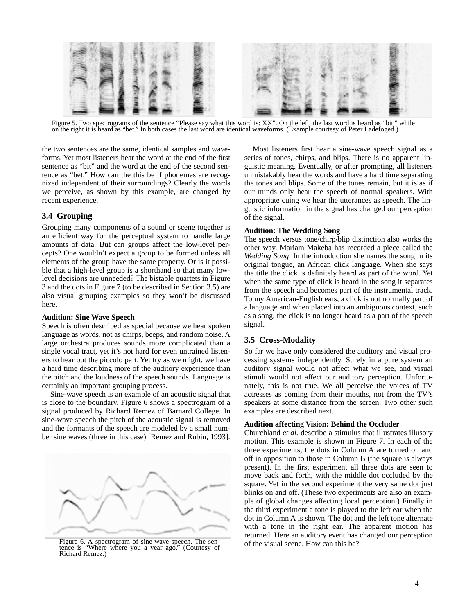

Figure 5. Two spectrograms of the sentence "Please say what this word is: XX". On the left, the last word is heard as "bit," while on the right it is heard as "bet." In both cases the last word are identical waveforms. (Example courtesy of Peter Ladefoged.)

the two sentences are the same, identical samples and waveforms. Yet most listeners hear the word at the end of the first sentence as "bit" and the word at the end of the second sentence as "bet." How can the this be if phonemes are recognized independent of their surroundings? Clearly the words we perceive, as shown by this example, are changed by recent experience.

# **3.4 Grouping**

Grouping many components of a sound or scene together is an efficient way for the perceptual system to handle large amounts of data. But can groups affect the low-level percepts? One wouldn't expect a group to be formed unless all elements of the group have the same property. Or is it possible that a high-level group is a shorthand so that many lowlevel decisions are unneeded? The bistable quartets in Figure 3 and the dots in Figure 7 (to be described in Section 3.5) are also visual grouping examples so they won't be discussed here.

### **Audition: Sine Wave Speech**

Speech is often described as special because we hear spoken language as words, not as chirps, beeps, and random noise. A large orchestra produces sounds more complicated than a single vocal tract, yet it's not hard for even untrained listeners to hear out the piccolo part. Yet try as we might, we have a hard time describing more of the auditory experience than the pitch and the loudness of the speech sounds. Language is certainly an important grouping process.

Sine-wave speech is an example of an acoustic signal that is close to the boundary. Figure 6 shows a spectrogram of a signal produced by Richard Remez of Barnard College. In sine-wave speech the pitch of the acoustic signal is removed and the formants of the speech are modeled by a small number sine waves (three in this case) [Remez and Rubin, 1993].



Figure 6. A spectrogram of sine-wave speech. The sentence is "Where where you a year ago." (Courtesy of Richard Remez.)

Most listeners first hear a sine-wave speech signal as a series of tones, chirps, and blips. There is no apparent linguistic meaning. Eventually, or after prompting, all listeners unmistakably hear the words and have a hard time separating the tones and blips. Some of the tones remain, but it is as if our minds only hear the speech of normal speakers. With appropriate cuing we hear the utterances as speech. The linguistic information in the signal has changed our perception of the signal.

## **Audition: The Wedding Song**

The speech versus tone/chirp/blip distinction also works the other way. Mariam Makeba has recorded a piece called the *Wedding Song*. In the introduction she names the song in its original tongue, an African click language. When she says the title the click is definitely heard as part of the word. Yet when the same type of click is heard in the song it separates from the speech and becomes part of the instrumental track. To my American-English ears, a click is not normally part of a language and when placed into an ambiguous context, such as a song, the click is no longer heard as a part of the speech signal.

# **3.5 Cross-Modality**

So far we have only considered the auditory and visual processing systems independently. Surely in a pure system an auditory signal would not affect what we see, and visual stimuli would not affect our auditory perception. Unfortunately, this is not true. We all perceive the voices of TV actresses as coming from their mouths, not from the TV's speakers at some distance from the screen. Two other such examples are described next.

## **Audition affecting Vision: Behind the Occluder**

Churchland *et al.* describe a stimulus that illustrates illusory motion. This example is shown in Figure 7. In each of the three experiments, the dots in Column A are turned on and off in opposition to those in Column B (the square is always present). In the first experiment all three dots are seen to move back and forth, with the middle dot occluded by the square. Yet in the second experiment the very same dot just blinks on and off. (These two experiments are also an example of global changes affecting local perception.) Finally in the third experiment a tone is played to the left ear when the dot in Column A is shown. The dot and the left tone alternate with a tone in the right ear. The apparent motion has returned. Here an auditory event has changed our perception of the visual scene. How can this be?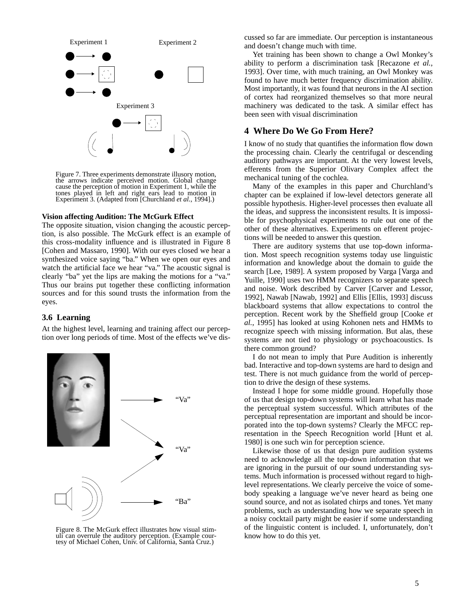

Figure 7. Three experiments demonstrate illusory motion, the arrows indicate perceived motion. Global change cause the perception of motion in Experiment 1, while the tones played in left and right ears lead to motion in Experiment 3. (Adapted from [Churchland *et al.*, 1994].)

#### **Vision affecting Audition: The McGurk Effect**

The opposite situation, vision changing the acoustic perception, is also possible. The McGurk effect is an example of this cross-modality influence and is illustrated in Figure 8 [Cohen and Massaro, 1990]. With our eyes closed we hear a synthesized voice saying "ba." When we open our eyes and watch the artificial face we hear "va." The acoustic signal is clearly "ba" yet the lips are making the motions for a "va." Thus our brains put together these conflicting information sources and for this sound trusts the information from the eyes.

### **3.6 Learning**

At the highest level, learning and training affect our perception over long periods of time. Most of the effects we've dis-



Figure 8. The McGurk effect illustrates how visual stimuli can overrule the auditory perception. (Example courtesy of Michael Cohen, Univ. of California, Santa Cruz.)

cussed so far are immediate. Our perception is instantaneous and doesn't change much with time.

Yet training has been shown to change a Owl Monkey's ability to perform a discrimination task [Recazone *et al.*, 1993]. Over time, with much training, an Owl Monkey was found to have much better frequency discrimination ability. Most importantly, it was found that neurons in the AI section of cortex had reorganized themselves so that more neural machinery was dedicated to the task. A similar effect has been seen with visual discrimination

### **4 Where Do We Go From Here?**

I know of no study that quantifies the information flow down the processing chain. Clearly the centrifugal or descending auditory pathways are important. At the very lowest levels, efferents from the Superior Olivary Complex affect the mechanical tuning of the cochlea.

Many of the examples in this paper and Churchland's chapter can be explained if low-level detectors generate all possible hypothesis. Higher-level processes then evaluate all the ideas, and suppress the inconsistent results. It is impossible for psychophysical experiments to rule out one of the other of these alternatives. Experiments on efferent projections will be needed to answer this question.

There are auditory systems that use top-down information. Most speech recognition systems today use linguistic information and knowledge about the domain to guide the search [Lee, 1989]. A system proposed by Varga [Varga and Yuille, 1990] uses two HMM recognizers to separate speech and noise. Work described by Carver [Carver and Lessor, 1992], Nawab [Nawab, 1992] and Ellis [Ellis, 1993] discuss blackboard systems that allow expectations to control the perception. Recent work by the Sheffield group [Cooke *et al.*, 1995] has looked at using Kohonen nets and HMMs to recognize speech with missing information. But alas, these systems are not tied to physiology or psychoacoustics. Is there common ground?

I do not mean to imply that Pure Audition is inherently bad. Interactive and top-down systems are hard to design and test. There is not much guidance from the world of perception to drive the design of these systems.

Instead I hope for some middle ground. Hopefully those of us that design top-down systems will learn what has made the perceptual system successful. Which attributes of the perceptual representation are important and should be incorporated into the top-down systems? Clearly the MFCC representation in the Speech Recognition world [Hunt et al. 1980] is one such win for perception science.

Likewise those of us that design pure audition systems need to acknowledge all the top-down information that we are ignoring in the pursuit of our sound understanding systems. Much information is processed without regard to highlevel representations. We clearly perceive the voice of somebody speaking a language we've never heard as being one sound source, and not as isolated chirps and tones. Yet many problems, such as understanding how we separate speech in a noisy cocktail party might be easier if some understanding of the linguistic content is included. I, unfortunately, don't know how to do this yet.